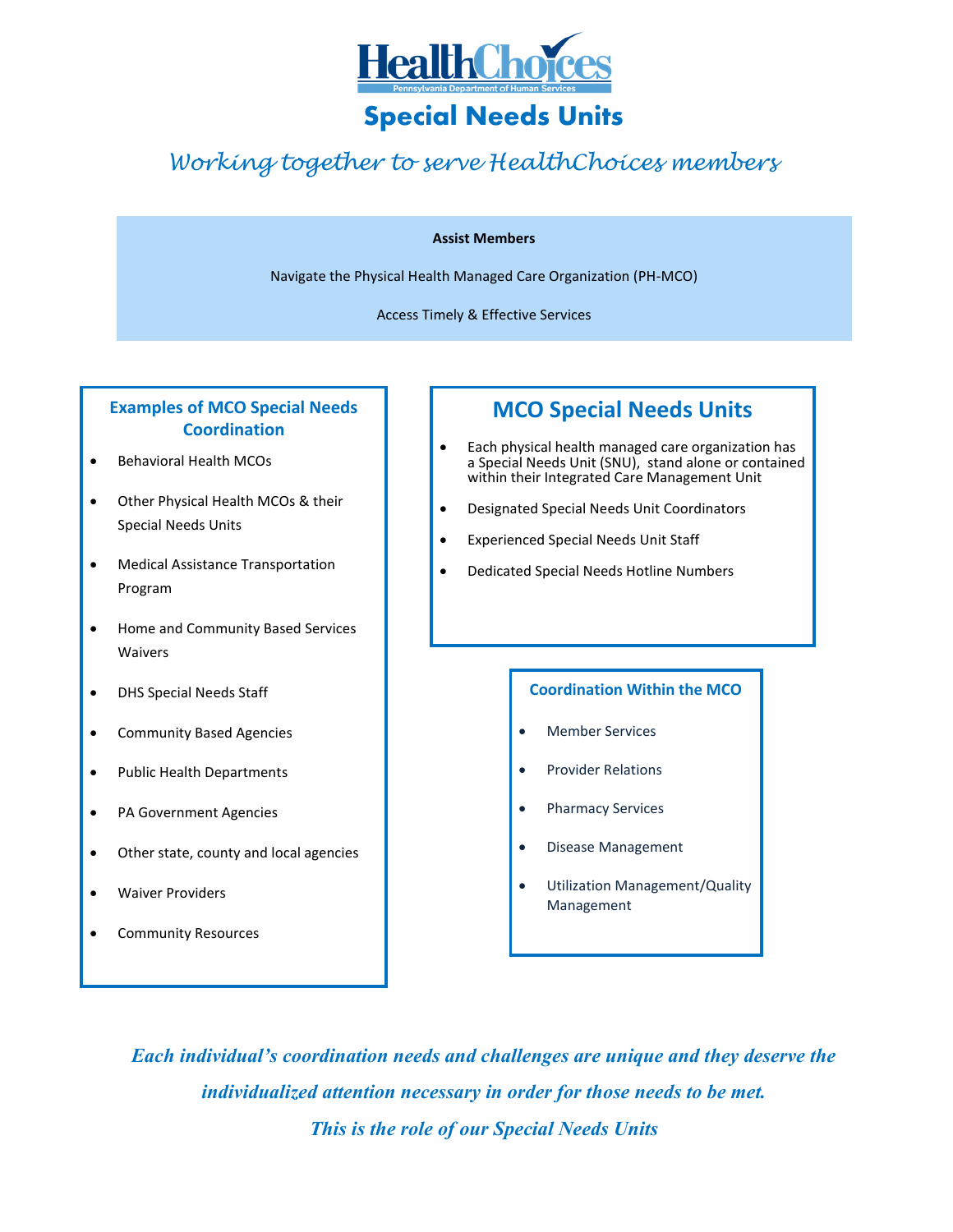

# **Special Needs Units**

## *Working together to serve HealthChoices members*

#### **Assist Members**

Navigate the Physical Health Managed Care Organization (PH-MCO)

Access Timely & Effective Services

### **Examples of MCO Special Needs Coordination**

- Behavioral Health MCOs
- Other Physical Health MCOs & their Special Needs Units
- Medical Assistance Transportation Program
- Home and Community Based Services Waivers
- DHS Special Needs Staff
- **•** Community Based Agencies
- Public Health Departments
- PA Government Agencies
- Other state, county and local agencies
- Waiver Providers
- Community Resources

## **MCO Special Needs Units**

- Each physical health managed care organization has a Special Needs Unit (SNU), stand alone or contained within their Integrated Care Management Unit
- Designated Special Needs Unit Coordinators
- Experienced Special Needs Unit Staff
- Dedicated Special Needs Hotline Numbers

#### **Coordination Within the MCO**

- Member Services
- Provider Relations
- Pharmacy Services
- Disease Management
- Utilization Management/Quality Management

*Each individual's coordination needs and challenges are unique and they deserve the individualized attention necessary in order for those needs to be met. This is the role of our Special Needs Units*